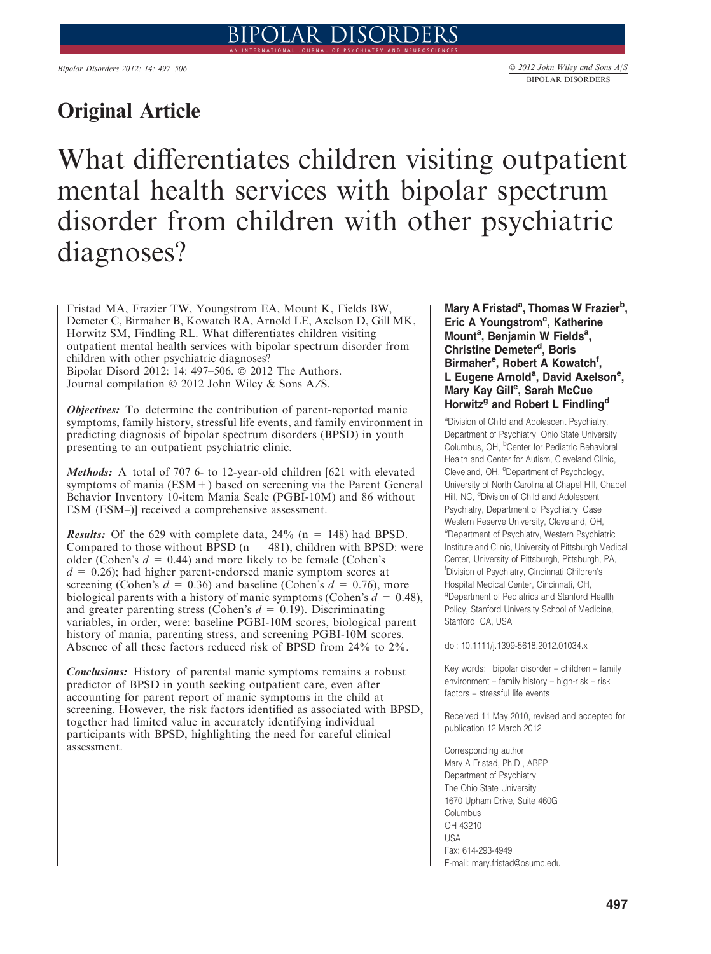# Original Article

What differentiates children visiting outpatient mental health services with bipolar spectrum disorder from children with other psychiatric diagnoses?

Fristad MA, Frazier TW, Youngstrom EA, Mount K, Fields BW, Demeter C, Birmaher B, Kowatch RA, Arnold LE, Axelson D, Gill MK, Horwitz SM, Findling RL. What differentiates children visiting outpatient mental health services with bipolar spectrum disorder from children with other psychiatric diagnoses? Bipolar Disord 2012: 14: 497–506. © 2012 The Authors. Journal compilation © 2012 John Wiley & Sons A/S.

*Objectives:* To determine the contribution of parent-reported manic symptoms, family history, stressful life events, and family environment in predicting diagnosis of bipolar spectrum disorders (BPSD) in youth presenting to an outpatient psychiatric clinic.

Methods: A total of 707 6- to 12-year-old children [621 with elevated symptoms of mania  $(ESM+)$  based on screening via the Parent General Behavior Inventory 10-item Mania Scale (PGBI-10M) and 86 without ESM (ESM–)] received a comprehensive assessment.

**Results:** Of the 629 with complete data,  $24\%$  (n = 148) had BPSD. Compared to those without BPSD ( $n = 481$ ), children with BPSD: were older (Cohen's  $d = 0.44$ ) and more likely to be female (Cohen's  $d = 0.26$ ; had higher parent-endorsed manic symptom scores at screening (Cohen's  $d = 0.36$ ) and baseline (Cohen's  $d = 0.76$ ), more biological parents with a history of manic symptoms (Cohen's  $d = 0.48$ ), and greater parenting stress (Cohen's  $d = 0.19$ ). Discriminating variables, in order, were: baseline PGBI-10M scores, biological parent history of mania, parenting stress, and screening PGBI-10M scores. Absence of all these factors reduced risk of BPSD from 24% to 2%.

Conclusions: History of parental manic symptoms remains a robust predictor of BPSD in youth seeking outpatient care, even after accounting for parent report of manic symptoms in the child at screening. However, the risk factors identified as associated with BPSD, together had limited value in accurately identifying individual participants with BPSD, highlighting the need for careful clinical assessment.

Mary A Fristad<sup>a</sup>, Thomas W Frazier<sup>b</sup>, Eric A Youngstrom<sup>c</sup>, Katherine Mount<sup>a</sup>, Benjamin W Fields<sup>a</sup>, Christine Demeter<sup>d</sup>, Boris Birmaher<sup>e</sup>, Robert A Kowatch<sup>f</sup>, L Eugene Arnold<sup>a</sup>, David Axelson<sup>e</sup>, Mary Kay Gill<sup>e</sup>, Sarah McCue Horwitz<sup>g</sup> and Robert L Findling<sup>d</sup>

aDivision of Child and Adolescent Psychiatry, Department of Psychiatry, Ohio State University, Columbus, OH, <sup>b</sup>Center for Pediatric Behavioral Health and Center for Autism, Cleveland Clinic, Cleveland, OH, <sup>c</sup>Department of Psychology, University of North Carolina at Chapel Hill, Chapel Hill, NC, <sup>d</sup>Division of Child and Adolescent Psychiatry, Department of Psychiatry, Case Western Reserve University, Cleveland, OH, e Department of Psychiatry, Western Psychiatric Institute and Clinic, University of Pittsburgh Medical Center, University of Pittsburgh, Pittsburgh, PA, f Division of Psychiatry, Cincinnati Children's Hospital Medical Center, Cincinnati, OH, g Department of Pediatrics and Stanford Health Policy, Stanford University School of Medicine, Stanford, CA, USA

doi: 10.1111/j.1399-5618.2012.01034.x

Key words: bipolar disorder – children – family environment – family history – high-risk – risk factors – stressful life events

Received 11 May 2010, revised and accepted for publication 12 March 2012

Corresponding author: Mary A Fristad, Ph.D., ABPP Department of Psychiatry The Ohio State University 1670 Upham Drive, Suite 460G Columbus OH 43210  $IIRA$ Fax: 614-293-4949 E-mail: mary.fristad@osumc.edu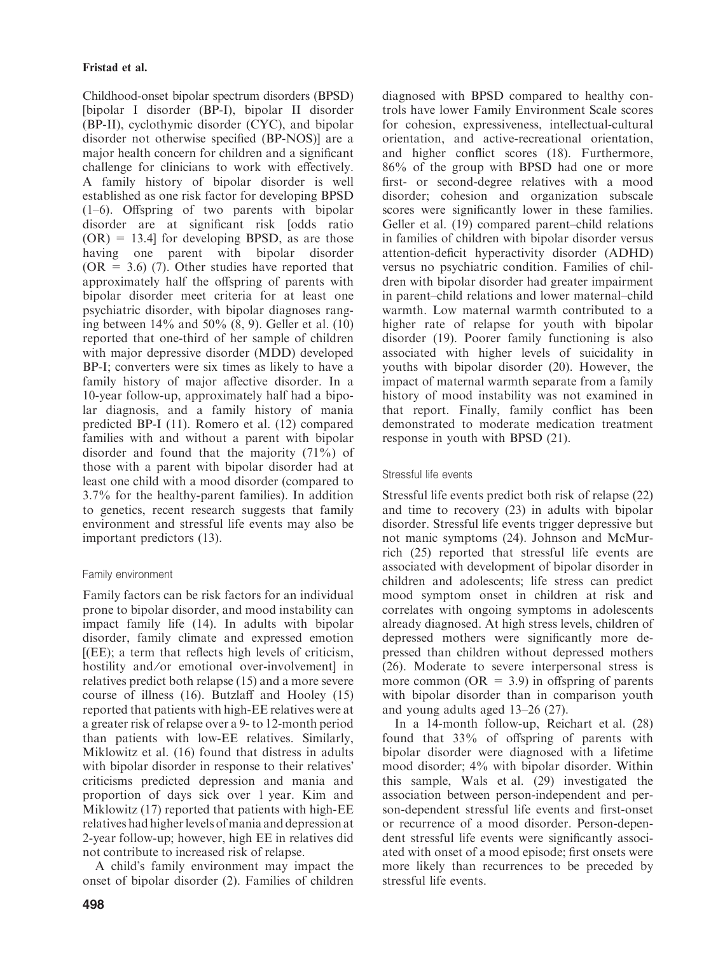Childhood-onset bipolar spectrum disorders (BPSD) [bipolar I disorder (BP-I), bipolar II disorder (BP-II), cyclothymic disorder (CYC), and bipolar disorder not otherwise specified (BP-NOS)] are a major health concern for children and a significant challenge for clinicians to work with effectively. A family history of bipolar disorder is well established as one risk factor for developing BPSD (1–6). Offspring of two parents with bipolar disorder are at significant risk [odds ratio  $(OR) = 13.4$  for developing BPSD, as are those having one parent with bipolar disorder  $(OR = 3.6)$  (7). Other studies have reported that approximately half the offspring of parents with bipolar disorder meet criteria for at least one psychiatric disorder, with bipolar diagnoses ranging between  $14\%$  and  $50\%$  (8, 9). Geller et al. (10) reported that one-third of her sample of children with major depressive disorder (MDD) developed BP-I; converters were six times as likely to have a family history of major affective disorder. In a 10-year follow-up, approximately half had a bipolar diagnosis, and a family history of mania predicted BP-I (11). Romero et al. (12) compared families with and without a parent with bipolar disorder and found that the majority (71%) of those with a parent with bipolar disorder had at least one child with a mood disorder (compared to 3.7% for the healthy-parent families). In addition to genetics, recent research suggests that family environment and stressful life events may also be important predictors (13).

## Family environment

Family factors can be risk factors for an individual prone to bipolar disorder, and mood instability can impact family life (14). In adults with bipolar disorder, family climate and expressed emotion [(EE); a term that reflects high levels of criticism, hostility and/or emotional over-involvement] in relatives predict both relapse (15) and a more severe course of illness (16). Butzlaff and Hooley (15) reported that patients with high-EE relatives were at a greater risk of relapse over a 9- to 12-month period than patients with low-EE relatives. Similarly, Miklowitz et al. (16) found that distress in adults with bipolar disorder in response to their relatives' criticisms predicted depression and mania and proportion of days sick over 1 year. Kim and Miklowitz (17) reported that patients with high-EE relatives had higher levels of mania and depression at 2-year follow-up; however, high EE in relatives did not contribute to increased risk of relapse.

A child's family environment may impact the onset of bipolar disorder (2). Families of children diagnosed with BPSD compared to healthy controls have lower Family Environment Scale scores for cohesion, expressiveness, intellectual-cultural orientation, and active-recreational orientation, and higher conflict scores (18). Furthermore, 86% of the group with BPSD had one or more first- or second-degree relatives with a mood disorder; cohesion and organization subscale scores were significantly lower in these families. Geller et al. (19) compared parent–child relations in families of children with bipolar disorder versus attention-deficit hyperactivity disorder (ADHD) versus no psychiatric condition. Families of children with bipolar disorder had greater impairment in parent–child relations and lower maternal–child warmth. Low maternal warmth contributed to a higher rate of relapse for youth with bipolar disorder (19). Poorer family functioning is also associated with higher levels of suicidality in youths with bipolar disorder (20). However, the impact of maternal warmth separate from a family history of mood instability was not examined in that report. Finally, family conflict has been demonstrated to moderate medication treatment response in youth with BPSD (21).

## Stressful life events

Stressful life events predict both risk of relapse (22) and time to recovery (23) in adults with bipolar disorder. Stressful life events trigger depressive but not manic symptoms (24). Johnson and McMurrich (25) reported that stressful life events are associated with development of bipolar disorder in children and adolescents; life stress can predict mood symptom onset in children at risk and correlates with ongoing symptoms in adolescents already diagnosed. At high stress levels, children of depressed mothers were significantly more depressed than children without depressed mothers (26). Moderate to severe interpersonal stress is more common ( $OR = 3.9$ ) in offspring of parents with bipolar disorder than in comparison youth and young adults aged 13–26 (27).

In a 14-month follow-up, Reichart et al. (28) found that 33% of offspring of parents with bipolar disorder were diagnosed with a lifetime mood disorder; 4% with bipolar disorder. Within this sample, Wals et al. (29) investigated the association between person-independent and person-dependent stressful life events and first-onset or recurrence of a mood disorder. Person-dependent stressful life events were significantly associated with onset of a mood episode; first onsets were more likely than recurrences to be preceded by stressful life events.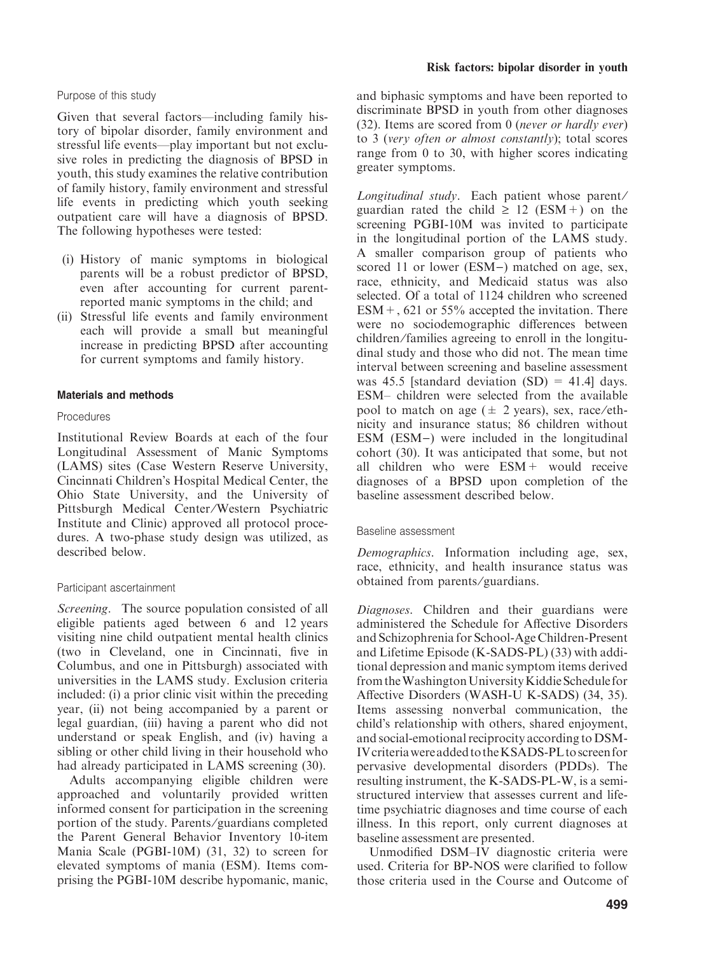## Purpose of this study

Given that several factors—including family history of bipolar disorder, family environment and stressful life events—play important but not exclusive roles in predicting the diagnosis of BPSD in youth, this study examines the relative contribution of family history, family environment and stressful life events in predicting which youth seeking outpatient care will have a diagnosis of BPSD. The following hypotheses were tested:

- (i) History of manic symptoms in biological parents will be a robust predictor of BPSD, even after accounting for current parentreported manic symptoms in the child; and
- (ii) Stressful life events and family environment each will provide a small but meaningful increase in predicting BPSD after accounting for current symptoms and family history.

## Materials and methods

### **Procedures**

Institutional Review Boards at each of the four Longitudinal Assessment of Manic Symptoms (LAMS) sites (Case Western Reserve University, Cincinnati Children's Hospital Medical Center, the Ohio State University, and the University of Pittsburgh Medical Center/Western Psychiatric Institute and Clinic) approved all protocol procedures. A two-phase study design was utilized, as described below.

#### Participant ascertainment

Screening. The source population consisted of all eligible patients aged between 6 and 12 years visiting nine child outpatient mental health clinics (two in Cleveland, one in Cincinnati, five in Columbus, and one in Pittsburgh) associated with universities in the LAMS study. Exclusion criteria included: (i) a prior clinic visit within the preceding year, (ii) not being accompanied by a parent or legal guardian, (iii) having a parent who did not understand or speak English, and (iv) having a sibling or other child living in their household who had already participated in LAMS screening (30).

Adults accompanying eligible children were approached and voluntarily provided written informed consent for participation in the screening portion of the study. Parents ⁄ guardians completed the Parent General Behavior Inventory 10-item Mania Scale (PGBI-10M) (31, 32) to screen for elevated symptoms of mania (ESM). Items comprising the PGBI-10M describe hypomanic, manic,

#### Risk factors: bipolar disorder in youth

and biphasic symptoms and have been reported to discriminate BPSD in youth from other diagnoses (32). Items are scored from 0 (never or hardly ever) to 3 (very often or almost constantly); total scores range from 0 to 30, with higher scores indicating greater symptoms.

Longitudinal study. Each patient whose parent/ guardian rated the child  $\geq 12$  (ESM+) on the screening PGBI-10M was invited to participate in the longitudinal portion of the LAMS study. A smaller comparison group of patients who scored 11 or lower (ESM-) matched on age, sex, race, ethnicity, and Medicaid status was also selected. Of a total of 1124 children who screened  $ESM +$ , 621 or 55% accepted the invitation. There were no sociodemographic differences between children ⁄families agreeing to enroll in the longitudinal study and those who did not. The mean time interval between screening and baseline assessment was 45.5 [standard deviation  $(SD) = 41.4$ ] days. ESM– children were selected from the available pool to match on age ( $\pm$  2 years), sex, race/ethnicity and insurance status; 86 children without ESM (ESM-) were included in the longitudinal cohort (30). It was anticipated that some, but not all children who were ESM+ would receive diagnoses of a BPSD upon completion of the baseline assessment described below.

#### Baseline assessment

Demographics. Information including age, sex, race, ethnicity, and health insurance status was obtained from parents ⁄ guardians.

Diagnoses. Children and their guardians were administered the Schedule for Affective Disorders and Schizophrenia for School-Age Children-Present and Lifetime Episode (K-SADS-PL) (33) with additional depression and manic symptom items derived from theWashingtonUniversityKiddie Schedule for Affective Disorders (WASH-U K-SADS) (34, 35). Items assessing nonverbal communication, the child's relationship with others, shared enjoyment, and social-emotional reciprocity according to DSM-IVcriteriawereadded to theKSADS-PL to screen for pervasive developmental disorders (PDDs). The resulting instrument, the K-SADS-PL-W, is a semistructured interview that assesses current and lifetime psychiatric diagnoses and time course of each illness. In this report, only current diagnoses at baseline assessment are presented.

Unmodified DSM–IV diagnostic criteria were used. Criteria for BP-NOS were clarified to follow those criteria used in the Course and Outcome of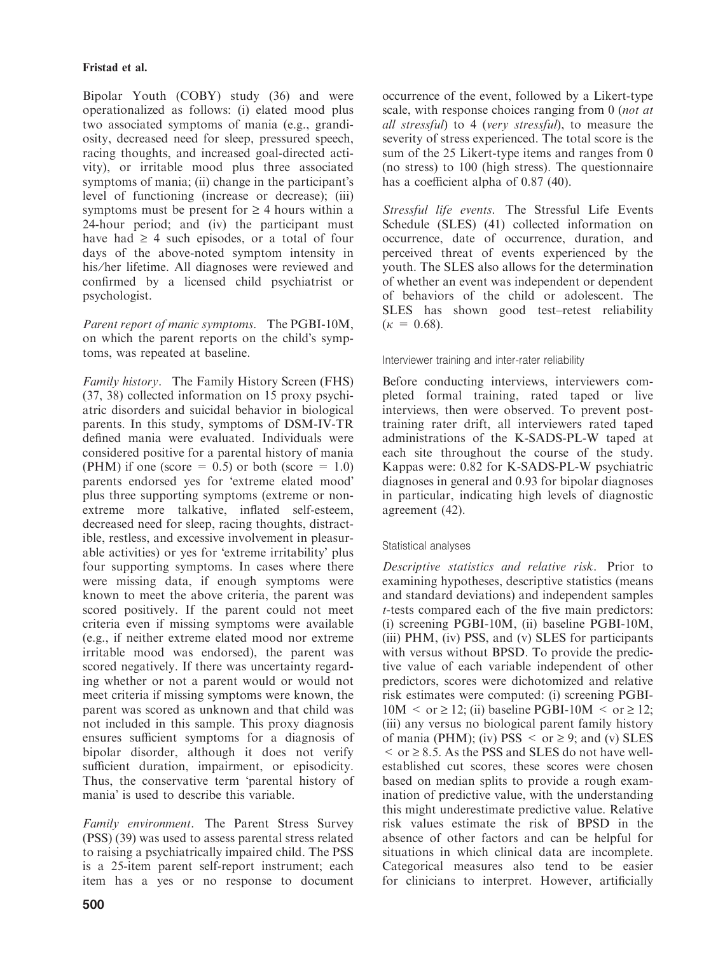Bipolar Youth (COBY) study (36) and were operationalized as follows: (i) elated mood plus two associated symptoms of mania (e.g., grandiosity, decreased need for sleep, pressured speech, racing thoughts, and increased goal-directed activity), or irritable mood plus three associated symptoms of mania; (ii) change in the participant's level of functioning (increase or decrease); (iii) symptoms must be present for  $\geq 4$  hours within a 24-hour period; and (iv) the participant must have had  $\geq 4$  such episodes, or a total of four days of the above-noted symptom intensity in his/her lifetime. All diagnoses were reviewed and confirmed by a licensed child psychiatrist or psychologist.

Parent report of manic symptoms. The PGBI-10M, on which the parent reports on the child's symptoms, was repeated at baseline.

Family history. The Family History Screen (FHS) (37, 38) collected information on 15 proxy psychiatric disorders and suicidal behavior in biological parents. In this study, symptoms of DSM-IV-TR defined mania were evaluated. Individuals were considered positive for a parental history of mania (PHM) if one (score  $= 0.5$ ) or both (score  $= 1.0$ ) parents endorsed yes for 'extreme elated mood' plus three supporting symptoms (extreme or nonextreme more talkative, inflated self-esteem, decreased need for sleep, racing thoughts, distractible, restless, and excessive involvement in pleasurable activities) or yes for 'extreme irritability' plus four supporting symptoms. In cases where there were missing data, if enough symptoms were known to meet the above criteria, the parent was scored positively. If the parent could not meet criteria even if missing symptoms were available (e.g., if neither extreme elated mood nor extreme irritable mood was endorsed), the parent was scored negatively. If there was uncertainty regarding whether or not a parent would or would not meet criteria if missing symptoms were known, the parent was scored as unknown and that child was not included in this sample. This proxy diagnosis ensures sufficient symptoms for a diagnosis of bipolar disorder, although it does not verify sufficient duration, impairment, or episodicity. Thus, the conservative term 'parental history of mania' is used to describe this variable.

Family environment. The Parent Stress Survey (PSS) (39) was used to assess parental stress related to raising a psychiatrically impaired child. The PSS is a 25-item parent self-report instrument; each item has a yes or no response to document occurrence of the event, followed by a Likert-type scale, with response choices ranging from 0 (not at all stressful) to 4 (very stressful), to measure the severity of stress experienced. The total score is the sum of the 25 Likert-type items and ranges from 0 (no stress) to 100 (high stress). The questionnaire has a coefficient alpha of 0.87 (40).

Stressful life events. The Stressful Life Events Schedule (SLES) (41) collected information on occurrence, date of occurrence, duration, and perceived threat of events experienced by the youth. The SLES also allows for the determination of whether an event was independent or dependent of behaviors of the child or adolescent. The SLES has shown good test–retest reliability  $(\kappa = 0.68)$ .

## Interviewer training and inter-rater reliability

Before conducting interviews, interviewers completed formal training, rated taped or live interviews, then were observed. To prevent posttraining rater drift, all interviewers rated taped administrations of the K-SADS-PL-W taped at each site throughout the course of the study. Kappas were: 0.82 for K-SADS-PL-W psychiatric diagnoses in general and 0.93 for bipolar diagnoses in particular, indicating high levels of diagnostic agreement (42).

## Statistical analyses

Descriptive statistics and relative risk. Prior to examining hypotheses, descriptive statistics (means and standard deviations) and independent samples t-tests compared each of the five main predictors: (i) screening PGBI-10M, (ii) baseline PGBI-10M, (iii) PHM, (iv) PSS, and (v) SLES for participants with versus without BPSD. To provide the predictive value of each variable independent of other predictors, scores were dichotomized and relative risk estimates were computed: (i) screening PGBI- $10M <$  or  $\geq 12$ ; (ii) baseline PGBI-10M  $<$  or  $\geq 12$ ; (iii) any versus no biological parent family history of mania (PHM); (iv)  $PSS < or \ge 9$ ; and (v) SLES  $\le$  or  $\ge$  8.5. As the PSS and SLES do not have wellestablished cut scores, these scores were chosen based on median splits to provide a rough examination of predictive value, with the understanding this might underestimate predictive value. Relative risk values estimate the risk of BPSD in the absence of other factors and can be helpful for situations in which clinical data are incomplete. Categorical measures also tend to be easier for clinicians to interpret. However, artificially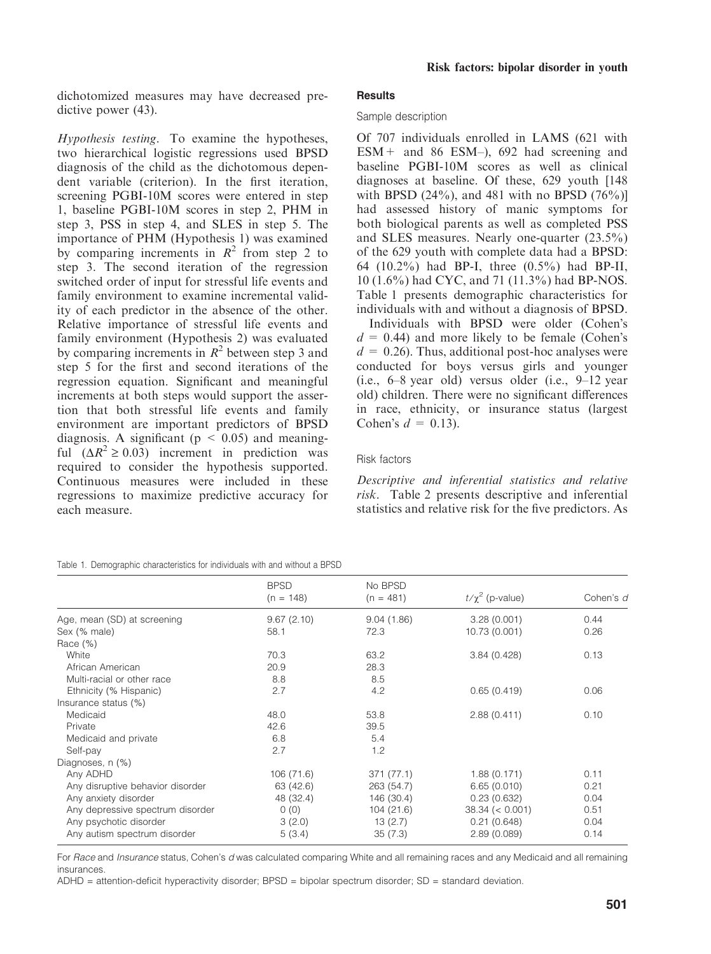dichotomized measures may have decreased predictive power (43).

Hypothesis testing. To examine the hypotheses, two hierarchical logistic regressions used BPSD diagnosis of the child as the dichotomous dependent variable (criterion). In the first iteration, screening PGBI-10M scores were entered in step 1, baseline PGBI-10M scores in step 2, PHM in step 3, PSS in step 4, and SLES in step 5. The importance of PHM (Hypothesis 1) was examined by comparing increments in  $R^2$  from step 2 to step 3. The second iteration of the regression switched order of input for stressful life events and family environment to examine incremental validity of each predictor in the absence of the other. Relative importance of stressful life events and family environment (Hypothesis 2) was evaluated by comparing increments in  $R^2$  between step 3 and step 5 for the first and second iterations of the regression equation. Significant and meaningful increments at both steps would support the assertion that both stressful life events and family environment are important predictors of BPSD diagnosis. A significant ( $p < 0.05$ ) and meaningful  $(\Delta R^2 \ge 0.03)$  increment in prediction was required to consider the hypothesis supported. Continuous measures were included in these regressions to maximize predictive accuracy for each measure.

## Table 1. Demographic characteristics for individuals with and without a BPSD

For Race and Insurance status, Cohen's d was calculated comparing White and all remaining races and any Medicaid and all remaining insurances.

ADHD = attention-deficit hyperactivity disorder; BPSD = bipolar spectrum disorder; SD = standard deviation.

#### **Results**

#### Sample description

Of 707 individuals enrolled in LAMS (621 with ESM+ and 86 ESM–), 692 had screening and baseline PGBI-10M scores as well as clinical diagnoses at baseline. Of these, 629 youth [148 with BPSD  $(24\%)$ , and 481 with no BPSD  $(76\%)$ ] had assessed history of manic symptoms for both biological parents as well as completed PSS and SLES measures. Nearly one-quarter (23.5%) of the 629 youth with complete data had a BPSD: 64 (10.2%) had BP-I, three (0.5%) had BP-II, 10 (1.6%) had CYC, and 71 (11.3%) had BP-NOS. Table 1 presents demographic characteristics for individuals with and without a diagnosis of BPSD.

Individuals with BPSD were older (Cohen's  $d = 0.44$ ) and more likely to be female (Cohen's  $d = 0.26$ . Thus, additional post-hoc analyses were conducted for boys versus girls and younger (i.e., 6–8 year old) versus older (i.e., 9–12 year old) children. There were no significant differences in race, ethnicity, or insurance status (largest Cohen's  $d = 0.13$ ).

#### Risk factors

Descriptive and inferential statistics and relative risk. Table 2 presents descriptive and inferential statistics and relative risk for the five predictors. As

|                                  | <b>BPSD</b><br>$(n = 148)$ | No BPSD<br>$(n = 481)$ | $t/\gamma^2$ (p-value) | Cohen's a |
|----------------------------------|----------------------------|------------------------|------------------------|-----------|
| Age, mean (SD) at screening      | 9.67(2.10)                 | 9.04(1.86)             | 3.28(0.001)            | 0.44      |
| Sex (% male)                     | 58.1                       | 72.3                   | 10.73 (0.001)          | 0.26      |
| Race (%)                         |                            |                        |                        |           |
| White                            | 70.3                       | 63.2                   | 3.84(0.428)            | 0.13      |
| African American                 | 20.9                       | 28.3                   |                        |           |
| Multi-racial or other race       | 8.8                        | 8.5                    |                        |           |
| Ethnicity (% Hispanic)           | 2.7                        | 4.2                    | 0.65(0.419)            | 0.06      |
| Insurance status (%)             |                            |                        |                        |           |
| Medicaid                         | 48.0                       | 53.8                   | 2.88(0.411)            | 0.10      |
| Private                          | 42.6                       | 39.5                   |                        |           |
| Medicaid and private             | 6.8                        | 5.4                    |                        |           |
| Self-pay                         | 2.7                        | 1.2                    |                        |           |
| Diagnoses, n (%)                 |                            |                        |                        |           |
| Any ADHD                         | 106 (71.6)                 | 371 (77.1)             | 1.88(0.171)            | 0.11      |
| Any disruptive behavior disorder | 63 (42.6)                  | 263 (54.7)             | 6.65(0.010)            | 0.21      |
| Any anxiety disorder             | 48 (32.4)                  | 146 (30.4)             | 0.23(0.632)            | 0.04      |
| Any depressive spectrum disorder | 0(0)                       | 104(21.6)              | 38.34 (< 0.001)        | 0.51      |
| Any psychotic disorder           | 3(2.0)                     | 13(2.7)                | 0.21(0.648)            | 0.04      |
| Any autism spectrum disorder     | 5(3.4)                     | 35(7.3)                | 2.89(0.089)            | 0.14      |
|                                  |                            |                        |                        |           |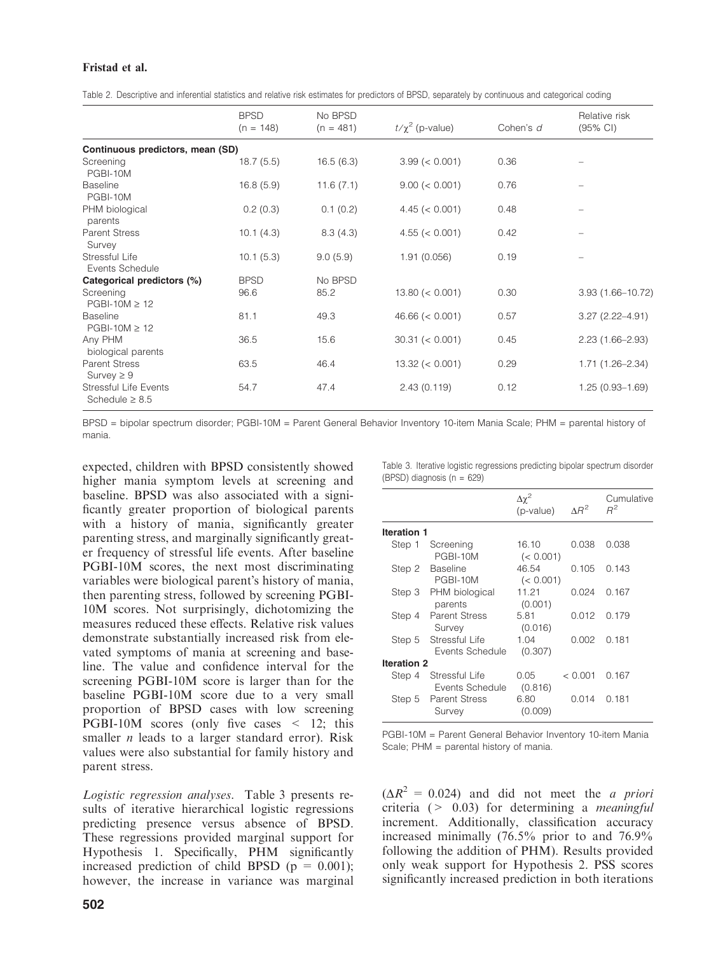## Fristad et al.

Table 2. Descriptive and inferential statistics and relative risk estimates for predictors of BPSD, separately by continuous and categorical coding

|                                                     | <b>BPSD</b><br>$(n = 148)$ | No BPSD<br>$(n = 481)$ | $t/\gamma^2$ (p-value) | Cohen's d | Relative risk<br>(95% CI) |
|-----------------------------------------------------|----------------------------|------------------------|------------------------|-----------|---------------------------|
| Continuous predictors, mean (SD)                    |                            |                        |                        |           |                           |
| Screening<br>PGBI-10M                               | 18.7(5.5)                  | 16.5(6.3)              | 3.99 (< 0.001)         | 0.36      |                           |
| <b>Baseline</b><br>PGBI-10M                         | 16.8(5.9)                  | 11.6(7.1)              | 9.00 (< 0.001)         | 0.76      |                           |
| PHM biological<br>parents                           | 0.2(0.3)                   | 0.1(0.2)               | 4.45 (< 0.001)         | 0.48      |                           |
| <b>Parent Stress</b><br>Survey                      | 10.1(4.3)                  | 8.3(4.3)               | 4.55 (< 0.001)         | 0.42      |                           |
| Stressful Life<br>Events Schedule                   | 10.1(5.3)                  | 9.0(5.9)               | 1.91(0.056)            | 0.19      |                           |
| Categorical predictors (%)                          | <b>BPSD</b>                | No BPSD                |                        |           |                           |
| Screening<br>$PGBI-10M \geq 12$                     | 96.6                       | 85.2                   | 13.80 (< 0.001)        | 0.30      | 3.93 (1.66-10.72)         |
| <b>Baseline</b><br>$PGBI-10M > 12$                  | 81.1                       | 49.3                   | 46.66 (< 0.001)        | 0.57      | $3.27(2.22 - 4.91)$       |
| Any PHM<br>biological parents                       | 36.5                       | 15.6                   | 30.31 (< 0.001)        | 0.45      | 2.23 (1.66-2.93)          |
| <b>Parent Stress</b><br>Survey $\geq 9$             | 63.5                       | 46.4                   | $13.32 \ (< 0.001)$    | 0.29      | $1.71(1.26 - 2.34)$       |
| <b>Stressful Life Events</b><br>Schedule $\geq 8.5$ | 54.7                       | 47.4                   | 2.43(0.119)            | 0.12      | $1.25(0.93 - 1.69)$       |

BPSD = bipolar spectrum disorder; PGBI-10M = Parent General Behavior Inventory 10-item Mania Scale; PHM = parental history of mania.

expected, children with BPSD consistently showed higher mania symptom levels at screening and baseline. BPSD was also associated with a significantly greater proportion of biological parents with a history of mania, significantly greater parenting stress, and marginally significantly greater frequency of stressful life events. After baseline PGBI-10M scores, the next most discriminating variables were biological parent's history of mania, then parenting stress, followed by screening PGBI-10M scores. Not surprisingly, dichotomizing the measures reduced these effects. Relative risk values demonstrate substantially increased risk from elevated symptoms of mania at screening and baseline. The value and confidence interval for the screening PGBI-10M score is larger than for the baseline PGBI-10M score due to a very small proportion of BPSD cases with low screening PGBI-10M scores (only five cases < 12; this smaller  $n$  leads to a larger standard error). Risk values were also substantial for family history and parent stress.

Logistic regression analyses. Table 3 presents results of iterative hierarchical logistic regressions predicting presence versus absence of BPSD. These regressions provided marginal support for Hypothesis 1. Specifically, PHM significantly increased prediction of child BPSD ( $p = 0.001$ ); however, the increase in variance was marginal Table 3. Iterative logistic regressions predicting bipolar spectrum disorder (BPSD) diagnosis (n = 629)

|                    |                                   | $\Delta \chi^2$<br>(p-value) | $\Delta R^2$ | Cumulative<br>$R^2$ |
|--------------------|-----------------------------------|------------------------------|--------------|---------------------|
| <b>Iteration 1</b> |                                   |                              |              |                     |
| Step 1             | Screening<br>PGBI-10M             | 16.10<br>(< 0.001)           | 0.038        | 0.038               |
| Step 2             | <b>Baseline</b><br>PGBI-10M       | 46.54<br>(< 0.001)           | 0.105        | 0.143               |
| Step 3             | PHM biological<br>parents         | 11.21<br>(0.001)             | 0.024        | 0.167               |
| Step 4             | Parent Stress<br>Survey           | 5.81<br>(0.016)              | 0.012        | 0.179               |
| Step 5             | Stressful Life<br>Events Schedule | 1.04<br>(0.307)              | 0.002        | 0.181               |
| <b>Iteration 2</b> |                                   |                              |              |                     |
| Step 4             | Stressful Life<br>Events Schedule | 0.05<br>(0.816)              | < 0.001      | 0.167               |
| Step 5             | <b>Parent Stress</b><br>Survey    | 6.80<br>(0.009)              | 0.014        | 0.181               |

PGBI-10M = Parent General Behavior Inventory 10-item Mania Scale; PHM = parental history of mania.

 $(\Delta R^2 = 0.024)$  and did not meet the *a priori* criteria ( $> 0.03$ ) for determining a *meaningful* increment. Additionally, classification accuracy increased minimally (76.5% prior to and 76.9% following the addition of PHM). Results provided only weak support for Hypothesis 2. PSS scores significantly increased prediction in both iterations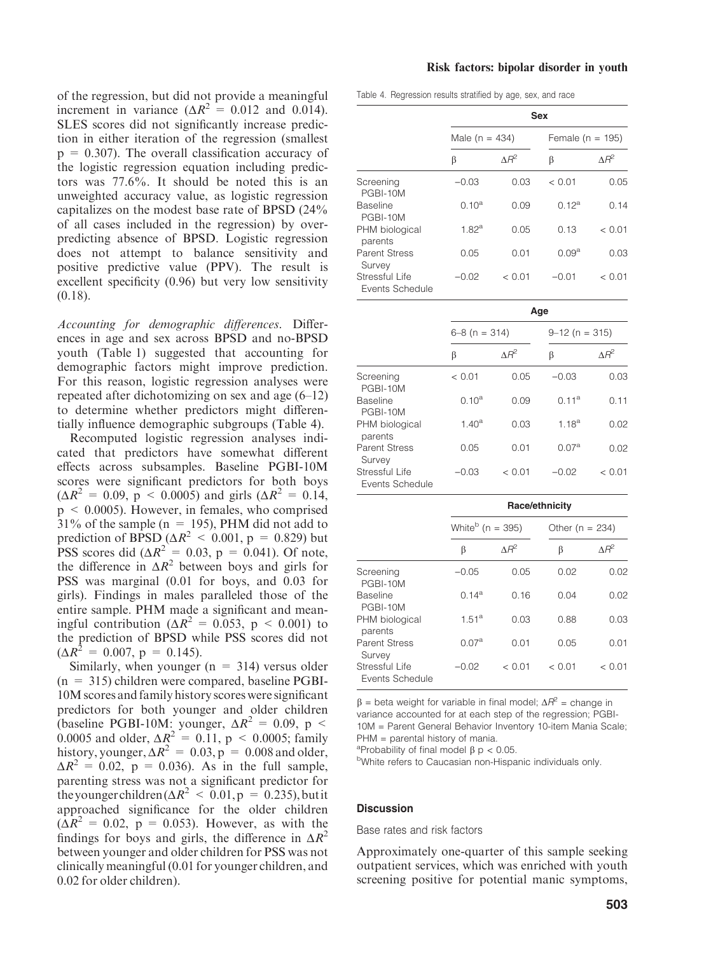of the regression, but did not provide a meaningful increment in variance ( $\Delta R^2 = 0.012$  and 0.014). SLES scores did not significantly increase prediction in either iteration of the regression (smallest  $p = 0.307$ ). The overall classification accuracy of the logistic regression equation including predictors was 77.6%. It should be noted this is an unweighted accuracy value, as logistic regression capitalizes on the modest base rate of BPSD (24% of all cases included in the regression) by overpredicting absence of BPSD. Logistic regression does not attempt to balance sensitivity and positive predictive value (PPV). The result is excellent specificity (0.96) but very low sensitivity (0.18).

Accounting for demographic differences. Differences in age and sex across BPSD and no-BPSD youth (Table 1) suggested that accounting for demographic factors might improve prediction. For this reason, logistic regression analyses were repeated after dichotomizing on sex and age (6–12) to determine whether predictors might differentially influence demographic subgroups (Table 4).

Recomputed logistic regression analyses indicated that predictors have somewhat different effects across subsamples. Baseline PGBI-10M scores were significant predictors for both boys  $(\Delta R^2 = 0.09, p < 0.0005)$  and girls  $(\Delta R^2 = 0.14,$  $p \leq 0.0005$ . However, in females, who comprised  $31\%$  of the sample (n = 195), PHM did not add to prediction of BPSD ( $\Delta R^2$  < 0.001, p = 0.829) but PSS scores did  $(\Delta R^2 = 0.03, p = 0.041)$ . Of note, the difference in  $\Delta R^2$  between boys and girls for PSS was marginal (0.01 for boys, and 0.03 for girls). Findings in males paralleled those of the entire sample. PHM made a significant and meaningful contribution ( $\Delta R^2 = 0.053$ , p < 0.001) to the prediction of BPSD while PSS scores did not  $(\Delta R^2 = 0.007, p = 0.145).$ 

Similarly, when younger  $(n = 314)$  versus older  $(n = 315)$  children were compared, baseline PGBI-10M scores and family history scores were significant predictors for both younger and older children (baseline PGBI-10M: younger,  $\Delta R^2 = 0.09$ , p < 0.0005 and older,  $\Delta R^2 = 0.11$ , p < 0.0005; family history, younger,  $\Delta R^2 = 0.03$ ,  $p = 0.008$  and older,  $\Delta R^2 = 0.02$ , p = 0.036). As in the full sample, parenting stress was not a significant predictor for the younger children ( $\Delta R^2 < 0.01$ , p = 0.235), but it approached significance for the older children  $(\Delta R^2 = 0.02, p = 0.053)$ . However, as with the findings for boys and girls, the difference in  $\Delta R^2$ between younger and older children for PSS was not clinically meaningful (0.01 for younger children, and 0.02 for older children).

Table 4. Regression results stratified by age, sex, and race

|                                   | Sex               |               |                      |               |
|-----------------------------------|-------------------|---------------|----------------------|---------------|
|                                   | Male (n = 434)    |               | Female ( $n = 195$ ) |               |
|                                   | β                 | $\Lambda R^2$ | β                    | $\Lambda R^2$ |
| Screening<br>PGBI-10M             | $-0.03$           | 0.03          | < 0.01               | 0.05          |
| <b>Baseline</b><br>PGBI-10M       | 0.10 <sup>a</sup> | 0.09          | 0.12 <sup>a</sup>    | 0.14          |
| PHM biological<br>parents         | 1.82 <sup>a</sup> | 0.05          | 0.13                 | < 0.01        |
| <b>Parent Stress</b><br>Survey    | 0.05              | 0.01          | 0.09 <sup>a</sup>    | 0.03          |
| Stressful Life<br>Events Schedule | $-0.02$           | < 0.01        | $-0.01$              | < 0.01        |

|                                   | Age               |                 |                    |               |
|-----------------------------------|-------------------|-----------------|--------------------|---------------|
|                                   | $6 - 8$ (n = 314) |                 | $9 - 12$ (n = 315) |               |
|                                   | β                 | $\triangle R^2$ | β                  | $\Lambda R^2$ |
| Screening<br>PGBI-10M             | < 0.01            | 0.05            | $-0.03$            | 0.03          |
| <b>Baseline</b><br>PGBI-10M       | 0.10 <sup>a</sup> | 0.09            | 0.11 <sup>a</sup>  | 0.11          |
| PHM biological<br>parents         | $1.40^a$          | 0.03            | $1.18^{a}$         | 0.02          |
| <b>Parent Stress</b><br>Survey    | 0.05              | 0.01            | 0.07 <sup>a</sup>  | 0.02          |
| Stressful Life<br>Events Schedule | $-0.03$           | < 0.01          | $-0.02$            | < 0.01        |

|                                   | Race/ethnicity                   |               |                     |               |
|-----------------------------------|----------------------------------|---------------|---------------------|---------------|
|                                   | White <sup>b</sup> ( $n = 395$ ) |               | Other ( $n = 234$ ) |               |
|                                   | β                                | $\Lambda R^2$ | β                   | $\Lambda R^2$ |
| Screening<br>PGBI-10M             | $-0.05$                          | 0.05          | 0.02                | 0.02          |
| <b>Baseline</b><br>PGBI-10M       | $0.14^{a}$                       | 0.16          | 0.04                | 0.02          |
| PHM biological<br>parents         | $1.51^a$                         | 0.03          | 0.88                | 0.03          |
| <b>Parent Stress</b><br>Survey    | 0.07 <sup>a</sup>                | 0.01          | 0.05                | 0.01          |
| Stressful Life<br>Events Schedule | $-0.02$                          | < 0.01        | < 0.01              | < 0.01        |

 $\beta$  = beta weight for variable in final model;  $\Delta R^2$  = change in variance accounted for at each step of the regression; PGBI-10M = Parent General Behavior Inventory 10-item Mania Scale; PHM = parental history of mania.

<sup>a</sup>Probability of final model  $\beta$  p < 0.05.

<sup>b</sup>White refers to Caucasian non-Hispanic individuals only.

#### **Discussion**

Base rates and risk factors

Approximately one-quarter of this sample seeking outpatient services, which was enriched with youth screening positive for potential manic symptoms,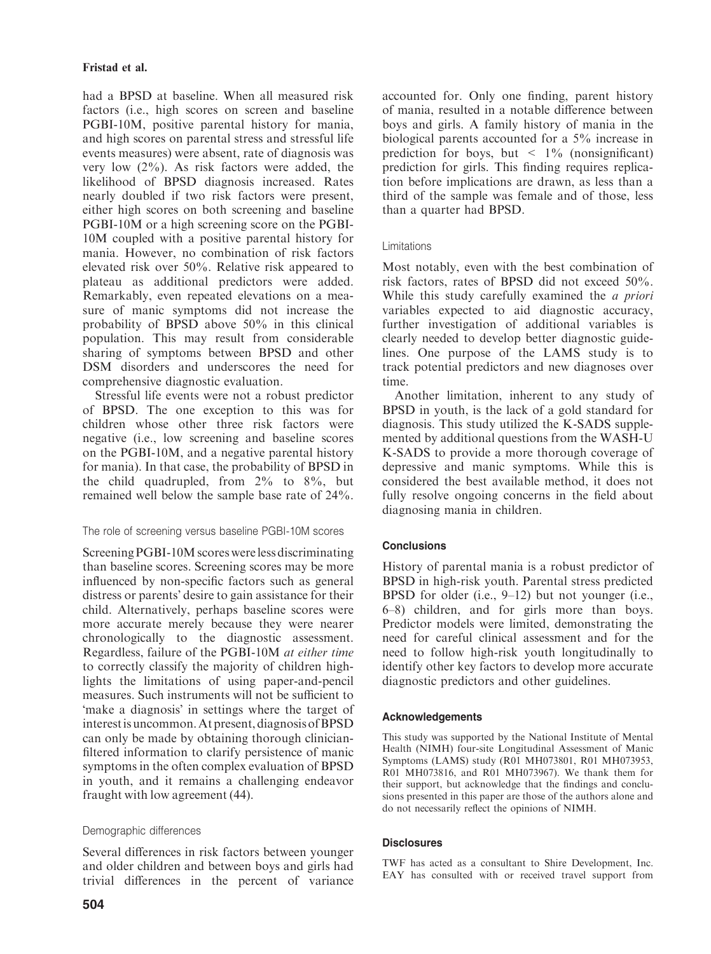## Fristad et al.

had a BPSD at baseline. When all measured risk factors (i.e., high scores on screen and baseline PGBI-10M, positive parental history for mania, and high scores on parental stress and stressful life events measures) were absent, rate of diagnosis was very low (2%). As risk factors were added, the likelihood of BPSD diagnosis increased. Rates nearly doubled if two risk factors were present, either high scores on both screening and baseline PGBI-10M or a high screening score on the PGBI-10M coupled with a positive parental history for mania. However, no combination of risk factors elevated risk over 50%. Relative risk appeared to plateau as additional predictors were added. Remarkably, even repeated elevations on a measure of manic symptoms did not increase the probability of BPSD above 50% in this clinical population. This may result from considerable sharing of symptoms between BPSD and other DSM disorders and underscores the need for comprehensive diagnostic evaluation.

Stressful life events were not a robust predictor of BPSD. The one exception to this was for children whose other three risk factors were negative (i.e., low screening and baseline scores on the PGBI-10M, and a negative parental history for mania). In that case, the probability of BPSD in the child quadrupled, from  $2\%$  to  $8\%$ , but remained well below the sample base rate of 24%.

## The role of screening versus baseline PGBI-10M scores

Screening PGBI-10M scores wereless discriminating than baseline scores. Screening scores may be more influenced by non-specific factors such as general distress or parents' desire to gain assistance for their child. Alternatively, perhaps baseline scores were more accurate merely because they were nearer chronologically to the diagnostic assessment. Regardless, failure of the PGBI-10M at either time to correctly classify the majority of children highlights the limitations of using paper-and-pencil measures. Such instruments will not be sufficient to 'make a diagnosis' in settings where the target of interest is uncommon. At present, diagnosis of BPSD can only be made by obtaining thorough clinicianfiltered information to clarify persistence of manic symptoms in the often complex evaluation of BPSD in youth, and it remains a challenging endeavor fraught with low agreement (44).

## Demographic differences

Several differences in risk factors between younger and older children and between boys and girls had trivial differences in the percent of variance accounted for. Only one finding, parent history of mania, resulted in a notable difference between boys and girls. A family history of mania in the biological parents accounted for a 5% increase in prediction for boys, but  $\langle 1\%$  (nonsignificant) prediction for girls. This finding requires replication before implications are drawn, as less than a third of the sample was female and of those, less than a quarter had BPSD.

## Limitations

Most notably, even with the best combination of risk factors, rates of BPSD did not exceed 50%. While this study carefully examined the *a priori* variables expected to aid diagnostic accuracy, further investigation of additional variables is clearly needed to develop better diagnostic guidelines. One purpose of the LAMS study is to track potential predictors and new diagnoses over time.

Another limitation, inherent to any study of BPSD in youth, is the lack of a gold standard for diagnosis. This study utilized the K-SADS supplemented by additional questions from the WASH-U K-SADS to provide a more thorough coverage of depressive and manic symptoms. While this is considered the best available method, it does not fully resolve ongoing concerns in the field about diagnosing mania in children.

## **Conclusions**

History of parental mania is a robust predictor of BPSD in high-risk youth. Parental stress predicted BPSD for older (i.e., 9–12) but not younger (i.e., 6–8) children, and for girls more than boys. Predictor models were limited, demonstrating the need for careful clinical assessment and for the need to follow high-risk youth longitudinally to identify other key factors to develop more accurate diagnostic predictors and other guidelines.

## Acknowledgements

This study was supported by the National Institute of Mental Health (NIMH) four-site Longitudinal Assessment of Manic Symptoms (LAMS) study (R01 MH073801, R01 MH073953, R01 MH073816, and R01 MH073967). We thank them for their support, but acknowledge that the findings and conclusions presented in this paper are those of the authors alone and do not necessarily reflect the opinions of NIMH.

## **Disclosures**

TWF has acted as a consultant to Shire Development, Inc. EAY has consulted with or received travel support from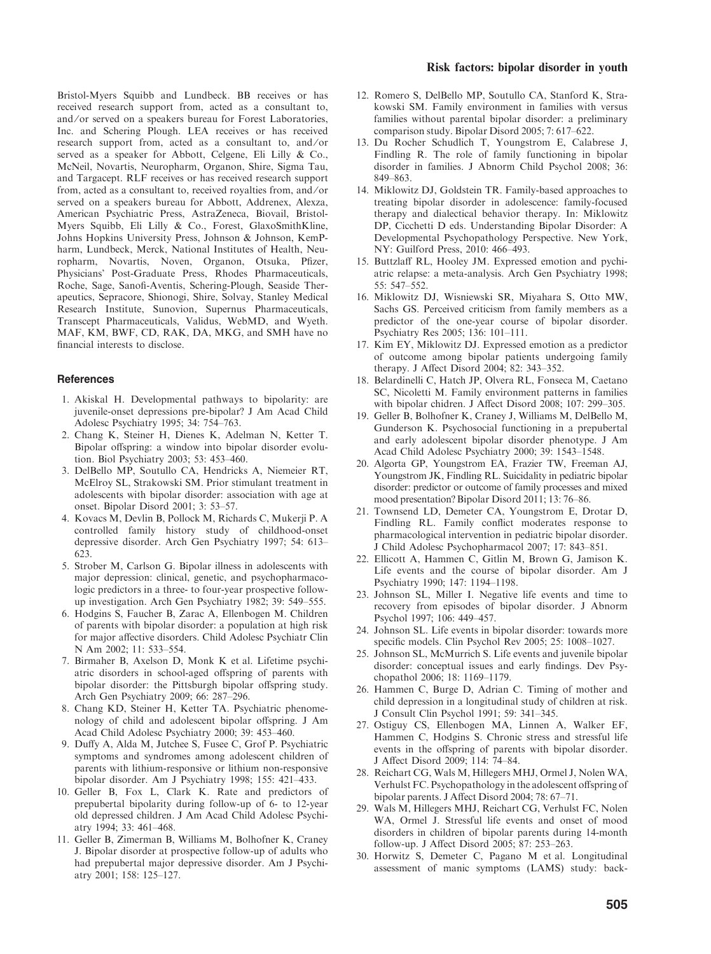Bristol-Myers Squibb and Lundbeck. BB receives or has received research support from, acted as a consultant to, and/or served on a speakers bureau for Forest Laboratories, Inc. and Schering Plough. LEA receives or has received research support from, acted as a consultant to, and/or served as a speaker for Abbott, Celgene, Eli Lilly & Co., McNeil, Novartis, Neuropharm, Organon, Shire, Sigma Tau, and Targacept. RLF receives or has received research support from, acted as a consultant to, received royalties from, and ⁄ or served on a speakers bureau for Abbott, Addrenex, Alexza, American Psychiatric Press, AstraZeneca, Biovail, Bristol-Myers Squibb, Eli Lilly & Co., Forest, GlaxoSmithKline, Johns Hopkins University Press, Johnson & Johnson, KemPharm, Lundbeck, Merck, National Institutes of Health, Neuropharm, Novartis, Noven, Organon, Otsuka, Pfizer, Physicians' Post-Graduate Press, Rhodes Pharmaceuticals, Roche, Sage, Sanofi-Aventis, Schering-Plough, Seaside Therapeutics, Sepracore, Shionogi, Shire, Solvay, Stanley Medical Research Institute, Sunovion, Supernus Pharmaceuticals, Transcept Pharmaceuticals, Validus, WebMD, and Wyeth. MAF, KM, BWF, CD, RAK, DA, MKG, and SMH have no financial interests to disclose.

#### **References**

- 1. Akiskal H. Developmental pathways to bipolarity: are juvenile-onset depressions pre-bipolar? J Am Acad Child Adolesc Psychiatry 1995; 34: 754–763.
- 2. Chang K, Steiner H, Dienes K, Adelman N, Ketter T. Bipolar offspring: a window into bipolar disorder evolution. Biol Psychiatry 2003; 53: 453–460.
- 3. DelBello MP, Soutullo CA, Hendricks A, Niemeier RT, McElroy SL, Strakowski SM. Prior stimulant treatment in adolescents with bipolar disorder: association with age at onset. Bipolar Disord 2001; 3: 53–57.
- 4. Kovacs M, Devlin B, Pollock M, Richards C, Mukerji P. A controlled family history study of childhood-onset depressive disorder. Arch Gen Psychiatry 1997; 54: 613– 623.
- 5. Strober M, Carlson G. Bipolar illness in adolescents with major depression: clinical, genetic, and psychopharmacologic predictors in a three- to four-year prospective followup investigation. Arch Gen Psychiatry 1982; 39: 549–555.
- 6. Hodgins S, Faucher B, Zarac A, Ellenbogen M. Children of parents with bipolar disorder: a population at high risk for major affective disorders. Child Adolesc Psychiatr Clin N Am 2002; 11: 533–554.
- 7. Birmaher B, Axelson D, Monk K et al. Lifetime psychiatric disorders in school-aged offspring of parents with bipolar disorder: the Pittsburgh bipolar offspring study. Arch Gen Psychiatry 2009; 66: 287–296.
- 8. Chang KD, Steiner H, Ketter TA. Psychiatric phenomenology of child and adolescent bipolar offspring. J Am Acad Child Adolesc Psychiatry 2000; 39: 453–460.
- 9. Duffy A, Alda M, Jutchee S, Fusee C, Grof P. Psychiatric symptoms and syndromes among adolescent children of parents with lithium-responsive or lithium non-responsive bipolar disorder. Am J Psychiatry 1998; 155: 421–433.
- 10. Geller B, Fox L, Clark K. Rate and predictors of prepubertal bipolarity during follow-up of 6- to 12-year old depressed children. J Am Acad Child Adolesc Psychiatry 1994; 33: 461–468.
- 11. Geller B, Zimerman B, Williams M, Bolhofner K, Craney J. Bipolar disorder at prospective follow-up of adults who had prepubertal major depressive disorder. Am J Psychiatry 2001; 158: 125–127.

#### Risk factors: bipolar disorder in youth

- 12. Romero S, DelBello MP, Soutullo CA, Stanford K, Strakowski SM. Family environment in families with versus families without parental bipolar disorder: a preliminary comparison study. Bipolar Disord 2005; 7: 617–622.
- 13. Du Rocher Schudlich T, Youngstrom E, Calabrese J, Findling R. The role of family functioning in bipolar disorder in families. J Abnorm Child Psychol 2008; 36: 849–863.
- 14. Miklowitz DJ, Goldstein TR. Family-based approaches to treating bipolar disorder in adolescence: family-focused therapy and dialectical behavior therapy. In: Miklowitz DP, Cicchetti D eds. Understanding Bipolar Disorder: A Developmental Psychopathology Perspective. New York, NY: Guilford Press, 2010: 466–493.
- 15. Buttzlaff RL, Hooley JM. Expressed emotion and pychiatric relapse: a meta-analysis. Arch Gen Psychiatry 1998; 55: 547–552.
- 16. Miklowitz DJ, Wisniewski SR, Miyahara S, Otto MW, Sachs GS. Perceived criticism from family members as a predictor of the one-year course of bipolar disorder. Psychiatry Res 2005; 136: 101–111.
- 17. Kim EY, Miklowitz DJ. Expressed emotion as a predictor of outcome among bipolar patients undergoing family therapy. J Affect Disord 2004; 82: 343–352.
- 18. Belardinelli C, Hatch JP, Olvera RL, Fonseca M, Caetano SC, Nicoletti M. Family environment patterns in families with bipolar chidren. J Affect Disord 2008; 107: 299–305.
- 19. Geller B, Bolhofner K, Craney J, Williams M, DelBello M, Gunderson K. Psychosocial functioning in a prepubertal and early adolescent bipolar disorder phenotype. J Am Acad Child Adolesc Psychiatry 2000; 39: 1543–1548.
- 20. Algorta GP, Youngstrom EA, Frazier TW, Freeman AJ, Youngstrom JK, Findling RL. Suicidality in pediatric bipolar disorder: predictor or outcome of family processes and mixed mood presentation? Bipolar Disord 2011; 13: 76–86.
- 21. Townsend LD, Demeter CA, Youngstrom E, Drotar D, Findling RL. Family conflict moderates response to pharmacological intervention in pediatric bipolar disorder. J Child Adolesc Psychopharmacol 2007; 17: 843–851.
- 22. Ellicott A, Hammen C, Gitlin M, Brown G, Jamison K. Life events and the course of bipolar disorder. Am J Psychiatry 1990; 147: 1194–1198.
- 23. Johnson SL, Miller I. Negative life events and time to recovery from episodes of bipolar disorder. J Abnorm Psychol 1997; 106: 449–457.
- 24. Johnson SL. Life events in bipolar disorder: towards more specific models. Clin Psychol Rev 2005; 25: 1008–1027.
- 25. Johnson SL, McMurrich S. Life events and juvenile bipolar disorder: conceptual issues and early findings. Dev Psychopathol 2006; 18: 1169–1179.
- 26. Hammen C, Burge D, Adrian C. Timing of mother and child depression in a longitudinal study of children at risk. J Consult Clin Psychol 1991; 59: 341–345.
- 27. Ostiguy CS, Ellenbogen MA, Linnen A, Walker EF, Hammen C, Hodgins S. Chronic stress and stressful life events in the offspring of parents with bipolar disorder. J Affect Disord 2009; 114: 74–84.
- 28. Reichart CG, Wals M, Hillegers MHJ, Ormel J, Nolen WA, Verhulst FC. Psychopathology in the adolescent offspring of bipolar parents. J Affect Disord 2004; 78: 67–71.
- 29. Wals M, Hillegers MHJ, Reichart CG, Verhulst FC, Nolen WA, Ormel J. Stressful life events and onset of mood disorders in children of bipolar parents during 14-month follow-up. J Affect Disord 2005; 87: 253–263.
- 30. Horwitz S, Demeter C, Pagano M et al. Longitudinal assessment of manic symptoms (LAMS) study: back-